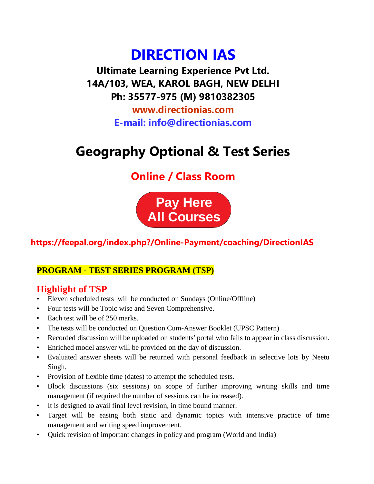# **DIRECTION IAS**

**Ultimate Learning Experience Pvt Ltd. 14A/103, WEA, KAROL BAGH, NEW DELHI Ph: 35577-975 (M) 9810382305**

> **www.directionias.com E-mail: info@directionias.com**

## **Geography Optional & Test Series**

## **Online / Class Room**



## **https://feepal.org/index.php?/Online-Payment/coaching/DirectionIAS**

### **PROGRAM - TEST SERIES PROGRAM (TSP)**

### **Highlight of TSP**

- Eleven scheduled tests will be conducted on Sundays (Online/Offline)
- Four tests will be Topic wise and Seven Comprehensive.
- Each test will be of 250 marks.
- The tests will be conducted on Question Cum-Answer Booklet (UPSC Pattern)
- Recorded discussion will be uploaded on students' portal who fails to appear in class discussion.
- Enriched model answer will be provided on the day of discussion.
- Evaluated answer sheets will be returned with personal feedback in selective lots by Neetu Singh.
- Provision of flexible time (dates) to attempt the scheduled tests.
- Block discussions (six sessions) on scope of further improving writing skills and time management (if required the number of sessions can be increased).
- It is designed to avail final level revision, in time bound manner.
- Target will be easing both static and dynamic topics with intensive practice of time management and writing speed improvement.
- Quick revision of important changes in policy and program (World and India)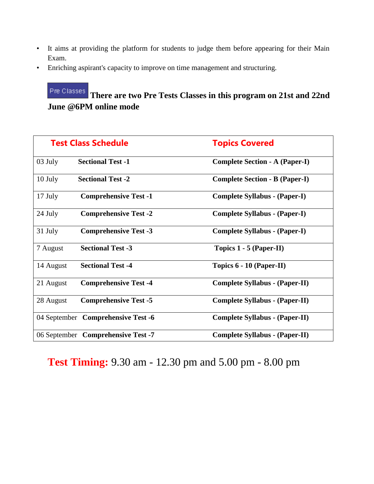- It aims at providing the platform for students to judge them before appearing for their Main Exam.
- Enriching aspirant's capacity to improve on time management and structuring.

#### Pre Classes

## **There are two Pre Tests Classes in this program on 21st and 22nd June @6PM online mode**

| <b>Test Class Schedule</b> |                                    | <b>Topics Covered</b>                 |  |
|----------------------------|------------------------------------|---------------------------------------|--|
| 03 July                    | <b>Sectional Test -1</b>           | <b>Complete Section - A (Paper-I)</b> |  |
| 10 July                    | <b>Sectional Test -2</b>           | <b>Complete Section - B (Paper-I)</b> |  |
| 17 July                    | <b>Comprehensive Test -1</b>       | <b>Complete Syllabus - (Paper-I)</b>  |  |
| 24 July                    | <b>Comprehensive Test -2</b>       | <b>Complete Syllabus - (Paper-I)</b>  |  |
| 31 July                    | <b>Comprehensive Test -3</b>       | <b>Complete Syllabus - (Paper-I)</b>  |  |
| 7 August                   | <b>Sectional Test -3</b>           | Topics 1 - 5 (Paper-II)               |  |
| 14 August                  | <b>Sectional Test -4</b>           | Topics $6 - 10$ (Paper-II)            |  |
| 21 August                  | <b>Comprehensive Test -4</b>       | <b>Complete Syllabus - (Paper-II)</b> |  |
| 28 August                  | <b>Comprehensive Test -5</b>       | <b>Complete Syllabus - (Paper-II)</b> |  |
|                            | 04 September Comprehensive Test -6 | <b>Complete Syllabus - (Paper-II)</b> |  |
|                            | 06 September Comprehensive Test -7 | <b>Complete Syllabus - (Paper-II)</b> |  |

**Test Timing:** 9.30 am - 12.30 pm and 5.00 pm - 8.00 pm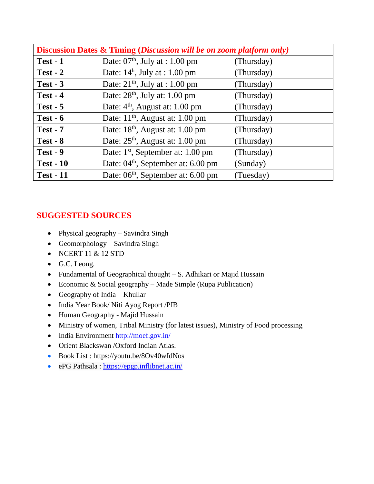| <b>Discussion Dates &amp; Timing (Discussion will be on zoom platform only)</b> |                                                |            |  |  |  |
|---------------------------------------------------------------------------------|------------------------------------------------|------------|--|--|--|
| $Test - 1$                                                                      | Date: $07th$ , July at : 1.00 pm               | (Thursday) |  |  |  |
| $Test - 2$                                                                      | Date: $14^h$ , July at : 1.00 pm               | (Thursday) |  |  |  |
| $Test - 3$                                                                      | Date: $21th$ , July at : 1.00 pm               | (Thursday) |  |  |  |
| $Test - 4$                                                                      | Date: $28th$ , July at: 1.00 pm                | (Thursday) |  |  |  |
| $Test - 5$                                                                      | Date: $4th$ , August at: 1.00 pm               | (Thursday) |  |  |  |
| $Test - 6$                                                                      | Date: $11th$ , August at: 1.00 pm              | (Thursday) |  |  |  |
| <b>Test - 7</b>                                                                 | Date: $18th$ , August at: 1.00 pm              | (Thursday) |  |  |  |
| $Test - 8$                                                                      | Date: $25th$ , August at: 1.00 pm              | (Thursday) |  |  |  |
| $Test - 9$                                                                      | Date: 1 <sup>st</sup> , September at: 1.00 pm  | (Thursday) |  |  |  |
| <b>Test - 10</b>                                                                | Date: 04 <sup>th</sup> , September at: 6.00 pm | (Sunday)   |  |  |  |
| <b>Test - 11</b>                                                                | Date: 06 <sup>th</sup> , September at: 6.00 pm | (Tuesday)  |  |  |  |

#### **SUGGESTED SOURCES**

- Physical geography Savindra Singh
- Geomorphology Savindra Singh
- $\bullet$  NCERT 11 & 12 STD
- G.C. Leong.
- Fundamental of Geographical thought S. Adhikari or Majid Hussain
- Economic & Social geography Made Simple (Rupa Publication)
- Geography of India Khullar
- India Year Book/ Niti Ayog Report /PIB
- Human Geography Majid Hussain
- Ministry of women, Tribal Ministry (for latest issues), Ministry of Food processing
- India Environment<http://moef.gov.in/>
- Orient Blackswan /Oxford Indian Atlas.
- Book List : https://youtu.be/8Ov40wIdNos
- ePG Pathsala : [https://epgp.inflibnet.ac.in/](https://www.youtube.com/redirect?event=video_description&redir_token=QUFFLUhqbENNQ3Izb1dvNVBJaVdmRU5GODZoSG84RmhPQXxBQ3Jtc0ttbEswYk45VWRhT0FQVVk3ZXl5TmdyalFydDh6QzFKNm1PVkI4NmZYb0xRZFNua0NnWThtYlItLTNKdzg5UEx6azNsWDY1ZXphempWczRKUGZLdTlXbm95UjZEQmw2Y3YxVV9DcDdJNGk3UTRyQkRzYw&q=https%3A%2F%2Fepgp.inflibnet.ac.in%2F&v=8Ov40wIdNos)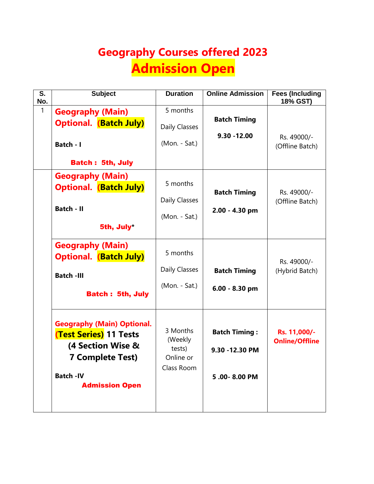# **Geography Courses offered 2023 Admission Open**

| S.<br>No. | <b>Subject</b>                                                                                                     | <b>Duration</b>                            | <b>Online Admission</b>                 | <b>Fees (Including</b><br>18% GST)    |
|-----------|--------------------------------------------------------------------------------------------------------------------|--------------------------------------------|-----------------------------------------|---------------------------------------|
| 1         | <b>Geography (Main)</b>                                                                                            | 5 months                                   | <b>Batch Timing</b>                     |                                       |
|           | <b>Optional. (Batch July)</b>                                                                                      | Daily Classes                              | $9.30 - 12.00$                          |                                       |
|           | Batch - I                                                                                                          | (Mon. - Sat.)                              |                                         | Rs. 49000/-<br>(Offline Batch)        |
|           | <b>Batch: 5th, July</b>                                                                                            |                                            |                                         |                                       |
|           | <b>Geography (Main)</b><br><b>Optional. (Batch July)</b>                                                           | 5 months                                   |                                         |                                       |
|           |                                                                                                                    | Daily Classes                              | <b>Batch Timing</b>                     | Rs. 49000/-<br>(Offline Batch)        |
|           | <b>Batch - II</b>                                                                                                  | (Mon. - Sat.)                              | 2.00 - 4.30 pm                          |                                       |
|           | 5th, July*                                                                                                         |                                            |                                         |                                       |
|           | <b>Geography (Main)</b><br><b>Optional.</b> (Batch July)                                                           | 5 months                                   |                                         | Rs. 49000/-                           |
|           | <b>Batch -III</b>                                                                                                  | Daily Classes                              | <b>Batch Timing</b>                     | (Hybrid Batch)                        |
|           | <b>Batch: 5th, July</b>                                                                                            | (Mon. - Sat.)                              | 6.00 - 8.30 pm                          |                                       |
|           | <b>Geography (Main) Optional.</b><br><b>(Test Series) 11 Tests</b><br>(4 Section Wise &<br><b>7 Complete Test)</b> | 3 Months<br>(Weekly<br>tests)<br>Online or | <b>Batch Timing:</b><br>9.30 - 12.30 PM | Rs. 11,000/-<br><b>Online/Offline</b> |
|           | <b>Batch-IV</b><br><b>Admission Open</b>                                                                           | Class Room                                 | 5.00-8.00 PM                            |                                       |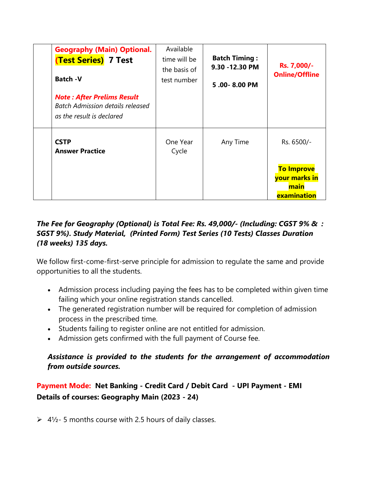| <b>Geography (Main) Optional.</b><br><b>(Test Series) 7 Test</b><br><b>Batch -V</b>                       | Available<br>time will be<br>the basis of<br>test number | <b>Batch Timing:</b><br>9.30 - 12.30 PM<br>5.00-8.00 PM | Rs. 7,000/-<br><b>Online/Offline</b>                      |
|-----------------------------------------------------------------------------------------------------------|----------------------------------------------------------|---------------------------------------------------------|-----------------------------------------------------------|
| <b>Note: After Prelims Result</b><br><b>Batch Admission details released</b><br>as the result is declared |                                                          |                                                         |                                                           |
| <b>CSTP</b><br><b>Answer Practice</b>                                                                     | One Year<br>Cycle                                        | Any Time                                                | Rs. 6500/-                                                |
|                                                                                                           |                                                          |                                                         | <b>To Improve</b><br>your marks in<br>main<br>examination |

#### *The Fee for Geography (Optional) is Total Fee: Rs. 49,000/- (Including: CGST 9% & : SGST 9%). Study Material, (Printed Form) Test Series (10 Tests) Classes Duration (18 weeks) 135 days.*

We follow first-come-first-serve principle for admission to regulate the same and provide opportunities to all the students.

- Admission process including paying the fees has to be completed within given time failing which your online registration stands cancelled.
- The generated registration number will be required for completion of admission process in the prescribed time.
- Students failing to register online are not entitled for admission.
- Admission gets confirmed with the full payment of Course fee.

#### *Assistance is provided to the students for the arrangement of accommodation from outside sources.*

**Payment Mode: Net Banking - Credit Card / Debit Card - UPI Payment - EMI Details of courses: Geography Main (2023 - 24)** 

 $\geq 4\frac{1}{2}$ - 5 months course with 2.5 hours of daily classes.